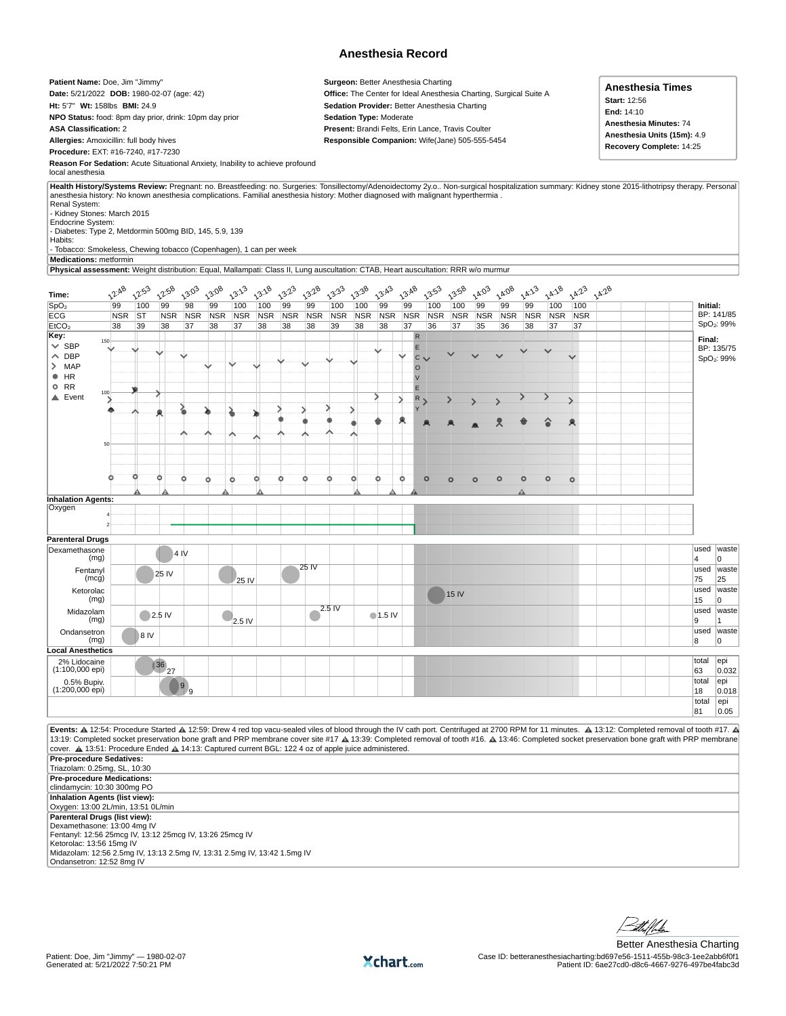## **Anesthesia Record**

**Patient Name:** Doe, Jim "Jimmy" **Date:** 5/21/2022 **DOB:** 1980-02-07 (age: 42) **Ht:** 5'7" **Wt:** 158lbs **BMI:** 24.9 **NPO Status:** food: 8pm day prior, drink: 10pm day prior **ASA Classification:** 2 **Allergies:** Amoxicillin: full body hives **Procedure:** EXT: #16-7240, #17-7230

**Surgeon:** Better Anesthesia Charting **Office:** The Center for Ideal Anesthesia Charting, Surgical Suite A **Sedation Provider:** Better Anesthesia Charting **Sedation Type:** Moderate **Present:** Brandi Felts, Erin Lance, Travis Coulter **Responsible Companion:** Wife(Jane) 505-555-5454

| Anesthesia Times                   |  |  |  |  |  |  |  |
|------------------------------------|--|--|--|--|--|--|--|
| <b>Start: 12:56</b>                |  |  |  |  |  |  |  |
| End: 14:10                         |  |  |  |  |  |  |  |
| Anesthesia Minutes: 74             |  |  |  |  |  |  |  |
| <b>Anesthesia Units (15m):</b> 4.9 |  |  |  |  |  |  |  |
| Recovery Complete: 14:25           |  |  |  |  |  |  |  |

**Reason For Sedation:** Acute Situational Anxiety, Inability to achieve profound local anesthesia

**Health History/Systems Review:** Pregnant: no. Breastfeeding: no. Surgeries: Tonsillectomy/Adenoidectomy 2y.o.. Non-surgical hospitalization summary: Kidney stone 2015-lithotripsy therapy. Personal anesthesia history: No known anesthesia complications. Familial anesthesia history: Mother diagnosed with malignant hyperthermia . Renal System: - Kidney Stones: March 2015

Endocrine System: - Diabetes: Type 2, Metdormin 500mg BID, 145, 5.9, 139

Habits:

- Tobacco: Smokeless, Chewing tobacco (Copenhagen), 1 can per week

**Medications:** metformin

**Physical assessment:** Weight distribution: Equal, Mallampati: Class II, Lung auscultation: CTAB, Heart auscultation: RRR w/o murmur

| Time:                                                                                                                                                                                              | $2^{2.48}$ | 12:53     | $2^{2.58}$        | $2^{3.03}$ | 13:08      | $13^{32}$  | 13:18      | 13.23      | 13:28      | $13^{33}$  | $13^{38}$  | $2^{3.43}$       | 13.48      |              | $2^{3.53}$ | 13.58      | $2^{4^{10}}$ | 24.08      | $2^{4^{2^{3}}}$ | $2^{A.28}$ | $2^{4^{2}}$   | 14.28 |  |           |                        |
|----------------------------------------------------------------------------------------------------------------------------------------------------------------------------------------------------|------------|-----------|-------------------|------------|------------|------------|------------|------------|------------|------------|------------|------------------|------------|--------------|------------|------------|--------------|------------|-----------------|------------|---------------|-------|--|-----------|------------------------|
| SpO <sub>2</sub>                                                                                                                                                                                   | 99         | 100       | 99                | 98         | 99         | 100        | 100        | 99         | 99         | 100        | 100        | 99               | 99         |              | 100        | 100        | 99           | 99         | 99              | 100        | 100           |       |  | Initial:  |                        |
| <b>ECG</b>                                                                                                                                                                                         | <b>NSR</b> | <b>ST</b> | <b>NSR</b>        | <b>NSR</b> | <b>NSR</b> | <b>NSR</b> | <b>NSR</b> | <b>NSR</b> | <b>NSR</b> | <b>NSR</b> | <b>NSR</b> | <b>NSR</b>       | <b>NSR</b> |              | <b>NSR</b> | <b>NSR</b> | <b>NSR</b>   | <b>NSR</b> | <b>NSR</b>      | <b>NSR</b> | <b>NSR</b>    |       |  |           | BP: 141/85             |
| E <sub>1</sub> CO <sub>2</sub>                                                                                                                                                                     | 38         | 39        | 38                | 37         | 38         | 37         | 38         | 38         | 38         | 39         | 38         | 38               | 37         |              | 36         | 37         | 35           | 36         | 38              | 37         | 37            |       |  |           | SpO <sub>2</sub> : 99% |
| Key:                                                                                                                                                                                               |            |           |                   |            |            |            |            |            |            |            |            |                  |            | $\sf R$      |            |            |              |            |                 |            |               |       |  |           |                        |
| 150<br>$\vee$ SBP                                                                                                                                                                                  |            |           |                   |            |            |            |            |            |            |            |            |                  |            | E            |            |            |              |            |                 |            |               |       |  | Final:    | BP: 135/75             |
| $\land$ DBP                                                                                                                                                                                        |            |           |                   |            |            |            |            |            |            |            |            |                  |            | $\mathsf{C}$ |            |            |              |            |                 |            | $\checkmark$  |       |  |           |                        |
| $>$ MAP                                                                                                                                                                                            |            |           |                   |            |            |            |            |            |            |            |            |                  |            | $\circ$      |            |            |              |            |                 |            |               |       |  |           | SpO <sub>2</sub> : 99% |
| $\bullet$ HR                                                                                                                                                                                       |            |           |                   |            |            |            |            |            |            |            |            |                  |            | $\vee$       |            |            |              |            |                 |            |               |       |  |           |                        |
| O RR                                                                                                                                                                                               |            |           |                   |            |            |            |            |            |            |            |            |                  |            | E            |            |            |              |            |                 |            |               |       |  |           |                        |
| 100<br>$\triangle$ Event                                                                                                                                                                           |            |           |                   |            |            |            |            |            |            |            |            |                  |            | ${\sf R}$    |            |            |              |            |                 |            |               |       |  |           |                        |
|                                                                                                                                                                                                    |            |           |                   |            |            |            |            |            |            |            |            |                  | У          |              |            |            |              |            |                 |            | $\mathcal{P}$ |       |  |           |                        |
|                                                                                                                                                                                                    |            |           |                   |            |            |            |            |            |            |            |            |                  |            |              |            |            |              |            |                 |            |               |       |  |           |                        |
|                                                                                                                                                                                                    |            |           |                   |            |            |            |            |            |            |            |            |                  |            |              |            |            |              |            |                 |            |               |       |  |           |                        |
|                                                                                                                                                                                                    |            |           |                   |            |            |            |            |            |            |            |            |                  |            |              |            |            |              |            |                 |            |               |       |  |           |                        |
| 50                                                                                                                                                                                                 |            |           |                   |            |            |            |            |            |            |            |            |                  |            |              |            |            |              |            |                 |            |               |       |  |           |                        |
|                                                                                                                                                                                                    |            |           |                   |            |            |            |            |            |            |            |            |                  |            |              |            |            |              |            |                 |            |               |       |  |           |                        |
|                                                                                                                                                                                                    |            |           |                   |            |            |            |            |            |            |            |            |                  |            |              |            |            |              |            |                 |            |               |       |  |           |                        |
|                                                                                                                                                                                                    | Ω          |           | o                 | ٥          |            |            | ٥          |            |            |            | Ó          | ٥                | ٥          | $\circ$      |            |            |              | $\circ$    | $\circ$         | $\circ$    |               |       |  |           |                        |
|                                                                                                                                                                                                    |            |           |                   |            | o          | ۰          |            |            |            |            |            |                  |            |              |            | $\circ$    | $\circ$      |            |                 |            | $\circ$       |       |  |           |                        |
|                                                                                                                                                                                                    |            |           |                   |            |            |            |            |            |            |            |            |                  |            |              |            |            |              |            |                 |            |               |       |  |           |                        |
| <b>Inhalation Agents:</b><br>Oxygen                                                                                                                                                                |            |           |                   |            |            |            |            |            |            |            |            |                  |            |              |            |            |              |            |                 |            |               |       |  |           |                        |
|                                                                                                                                                                                                    |            |           |                   |            |            |            |            |            |            |            |            |                  |            |              |            |            |              |            |                 |            |               |       |  |           |                        |
| $\mathcal{P}$                                                                                                                                                                                      |            |           |                   |            |            |            |            |            |            |            |            |                  |            |              |            |            |              |            |                 |            |               |       |  |           |                        |
|                                                                                                                                                                                                    |            |           |                   |            |            |            |            |            |            |            |            |                  |            |              |            |            |              |            |                 |            |               |       |  |           |                        |
| <b>Parenteral Drugs</b>                                                                                                                                                                            |            |           |                   |            |            |            |            |            |            |            |            |                  |            |              |            |            |              |            |                 |            |               |       |  | used      | waste                  |
| Dexamethasone<br>(mg)                                                                                                                                                                              |            |           |                   | 4 IV       |            |            |            |            |            |            |            |                  |            |              |            |            |              |            |                 |            |               |       |  | 4         | <sup>0</sup>           |
| Fentanyl                                                                                                                                                                                           |            |           | 25 IV             |            |            |            |            |            | 25 IV      |            |            |                  |            |              |            |            |              |            |                 |            |               |       |  | used      | waste                  |
| (mcq)                                                                                                                                                                                              |            |           |                   |            |            | 25 IV      |            |            |            |            |            |                  |            |              |            |            |              |            |                 |            |               |       |  | 75        | 25                     |
| Ketorolac                                                                                                                                                                                          |            |           |                   |            |            |            |            |            |            |            |            |                  |            |              |            | 15 IV      |              |            |                 |            |               |       |  | used      | waste                  |
| (mg)                                                                                                                                                                                               |            |           |                   |            |            |            |            |            |            |            |            |                  |            |              |            |            |              |            |                 |            |               |       |  | 15        | 10                     |
| Midazolam                                                                                                                                                                                          |            |           | $\bigcirc$ 2.5 IV |            |            |            |            |            |            | $2.5$ IV   |            | $\bullet$ 1.5 IV |            |              |            |            |              |            |                 |            |               |       |  | used      | waste                  |
| (mg)                                                                                                                                                                                               |            |           |                   |            |            | 2.5 IV     |            |            |            |            |            |                  |            |              |            |            |              |            |                 |            |               |       |  | 9         | 11.                    |
| Ondansetron<br>(mg)                                                                                                                                                                                |            | 8 IV      |                   |            |            |            |            |            |            |            |            |                  |            |              |            |            |              |            |                 |            |               |       |  | used<br>8 | waste<br>l0            |
| <b>Local Anesthetics</b>                                                                                                                                                                           |            |           |                   |            |            |            |            |            |            |            |            |                  |            |              |            |            |              |            |                 |            |               |       |  |           |                        |
| 2% Lidocaine                                                                                                                                                                                       |            |           |                   |            |            |            |            |            |            |            |            |                  |            |              |            |            |              |            |                 |            |               |       |  | total     | epi                    |
| $(1:100,000$ epi)                                                                                                                                                                                  |            |           | 36 <br>27         |            |            |            |            |            |            |            |            |                  |            |              |            |            |              |            |                 |            |               |       |  | 63        | 0.032                  |
| 0.5% Bupiv.                                                                                                                                                                                        |            |           |                   |            |            |            |            |            |            |            |            |                  |            |              |            |            |              |            |                 |            |               |       |  | total     | epi                    |
| $(1:200,000$ epi)                                                                                                                                                                                  |            |           |                   | 9<br>l,    |            |            |            |            |            |            |            |                  |            |              |            |            |              |            |                 |            |               |       |  | 18        | 0.018                  |
|                                                                                                                                                                                                    |            |           |                   |            |            |            |            |            |            |            |            |                  |            |              |            |            |              |            |                 |            |               |       |  | total     | epi                    |
|                                                                                                                                                                                                    |            |           |                   |            |            |            |            |            |            |            |            |                  |            |              |            |            |              |            |                 |            |               |       |  | 81        | 0.05                   |
|                                                                                                                                                                                                    |            |           |                   |            |            |            |            |            |            |            |            |                  |            |              |            |            |              |            |                 |            |               |       |  |           |                        |
| Events: A 12:54: Procedure Started A 12:59: Drew 4 red top vacu-sealed viles of blood through the IV cath port. Centrifuged at 2700 RPM for 11 minutes. A 13:12: Completed removal of tooth #17. A |            |           |                   |            |            |            |            |            |            |            |            |                  |            |              |            |            |              |            |                 |            |               |       |  |           |                        |
| 13:19: Completed socket preservation bone graft and PRP membrane cover site #17 & 13:39: Completed removal of tooth #16. & 13:46: Completed socket preservation bone graft with PRP membrane       |            |           |                   |            |            |            |            |            |            |            |            |                  |            |              |            |            |              |            |                 |            |               |       |  |           |                        |
| cover. A 13:51: Procedure Ended A 14:13: Captured current BGL: 122 4 oz of apple juice administered.                                                                                               |            |           |                   |            |            |            |            |            |            |            |            |                  |            |              |            |            |              |            |                 |            |               |       |  |           |                        |
| Pre-procedure Sedatives:                                                                                                                                                                           |            |           |                   |            |            |            |            |            |            |            |            |                  |            |              |            |            |              |            |                 |            |               |       |  |           |                        |
| Triazolam: 0.25mg, SL, 10:30                                                                                                                                                                       |            |           |                   |            |            |            |            |            |            |            |            |                  |            |              |            |            |              |            |                 |            |               |       |  |           |                        |
| Pre-procedure Medications:                                                                                                                                                                         |            |           |                   |            |            |            |            |            |            |            |            |                  |            |              |            |            |              |            |                 |            |               |       |  |           |                        |
| clindamycin: 10:30 300mg PO                                                                                                                                                                        |            |           |                   |            |            |            |            |            |            |            |            |                  |            |              |            |            |              |            |                 |            |               |       |  |           |                        |
| Inhalation Agents (list view):                                                                                                                                                                     |            |           |                   |            |            |            |            |            |            |            |            |                  |            |              |            |            |              |            |                 |            |               |       |  |           |                        |
| Oxygen: 13:00 2L/min, 13:51 0L/min                                                                                                                                                                 |            |           |                   |            |            |            |            |            |            |            |            |                  |            |              |            |            |              |            |                 |            |               |       |  |           |                        |
| Parenteral Drugs (list view):                                                                                                                                                                      |            |           |                   |            |            |            |            |            |            |            |            |                  |            |              |            |            |              |            |                 |            |               |       |  |           |                        |
| Dexamethasone: 13:00 4mg IV<br>Fentanyl: 12:56 25mcg IV, 13:12 25mcg IV, 13:26 25mcg IV                                                                                                            |            |           |                   |            |            |            |            |            |            |            |            |                  |            |              |            |            |              |            |                 |            |               |       |  |           |                        |
| Ketorolac: 13:56 15mg IV                                                                                                                                                                           |            |           |                   |            |            |            |            |            |            |            |            |                  |            |              |            |            |              |            |                 |            |               |       |  |           |                        |

Ketorolac: 13:56 15mg IV<br>Midazolam: 12:56 2.5mg IV, 13:13 2.5mg IV, 13:31 2.5mg IV, 13:42 1.5mg IV Ondansetron: 12:52 8mg IV

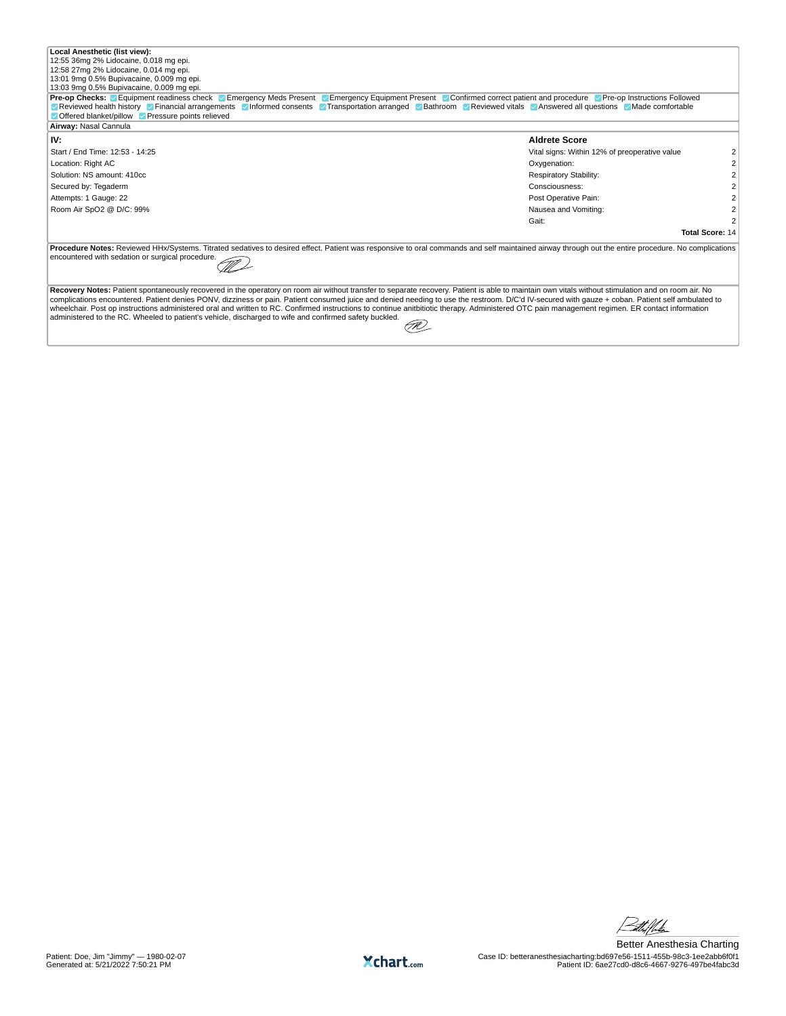| Local Anesthetic (list view):                                                                                                                                                                      |                                               |  |  |  |  |  |  |  |
|----------------------------------------------------------------------------------------------------------------------------------------------------------------------------------------------------|-----------------------------------------------|--|--|--|--|--|--|--|
| 12:55 36mg 2% Lidocaine, 0.018 mg epi.                                                                                                                                                             |                                               |  |  |  |  |  |  |  |
| 12:58 27mg 2% Lidocaine, 0.014 mg epi.                                                                                                                                                             |                                               |  |  |  |  |  |  |  |
| 13:01 9mg 0.5% Bupivacaine, 0.009 mg epi.                                                                                                                                                          |                                               |  |  |  |  |  |  |  |
| 13:03 9mg 0.5% Bupivacaine, 0.009 mg epi.                                                                                                                                                          |                                               |  |  |  |  |  |  |  |
| <b>Pre-op Checks:</b> Equipment readiness check Pemergency Meds Present Pemergency Equipment Present Ponfirmed correct patient and procedure Per-op Instructions Followed                          |                                               |  |  |  |  |  |  |  |
| Reviewed health history <b>Financial arrangements</b> Informed consents Transportation arranged Bathroom Reviewed vitals Answered all questions Made comfortable                                   |                                               |  |  |  |  |  |  |  |
| Offered blanket/pillow V Pressure points relieved                                                                                                                                                  |                                               |  |  |  |  |  |  |  |
| Airway: Nasal Cannula                                                                                                                                                                              |                                               |  |  |  |  |  |  |  |
| IV:                                                                                                                                                                                                | <b>Aldrete Score</b>                          |  |  |  |  |  |  |  |
| Start / End Time: 12:53 - 14:25                                                                                                                                                                    | Vital signs: Within 12% of preoperative value |  |  |  |  |  |  |  |
| Location: Right AC                                                                                                                                                                                 | Oxygenation:                                  |  |  |  |  |  |  |  |
| Solution: NS amount: 410cc                                                                                                                                                                         | <b>Respiratory Stability:</b>                 |  |  |  |  |  |  |  |
| Secured by: Tegaderm                                                                                                                                                                               | Consciousness:                                |  |  |  |  |  |  |  |
| Attempts: 1 Gauge: 22                                                                                                                                                                              | Post Operative Pain:                          |  |  |  |  |  |  |  |
| Room Air SpO2 @ D/C: 99%                                                                                                                                                                           | Nausea and Vomiting:                          |  |  |  |  |  |  |  |
|                                                                                                                                                                                                    | Gait:                                         |  |  |  |  |  |  |  |
|                                                                                                                                                                                                    | <b>Total Score: 14</b>                        |  |  |  |  |  |  |  |
| Procedure Notes: Reviewed HHx/Systems. Titrated sedatives to desired effect. Patient was responsive to oral commands and self maintained airway through out the entire procedure. No complications |                                               |  |  |  |  |  |  |  |
| encountered with sedation or surgical procedure.                                                                                                                                                   |                                               |  |  |  |  |  |  |  |
|                                                                                                                                                                                                    |                                               |  |  |  |  |  |  |  |
|                                                                                                                                                                                                    |                                               |  |  |  |  |  |  |  |
| Recovery Notes: Patient spontaneously recovered in the operatory on room air without transfer to separate recovery. Patient is able to maintain own vitals without stimulation and on room air. No |                                               |  |  |  |  |  |  |  |
| complications encountered. Patient denies PONV, dizziness or pain. Patient consumed juice and denied needing to use the restroom. D/C'd IV-secured with gauze + coban. Patient self ambulated to   |                                               |  |  |  |  |  |  |  |
| wheelchair. Post op instructions administered oral and written to RC. Confirmed instructions to continue anitbitiotic therapy. Administered OTC pain management regimen. ER contact information    |                                               |  |  |  |  |  |  |  |

administered to the RC. Wheeled to patient's vehicle, discharged to wife and confirmed safety buckled.



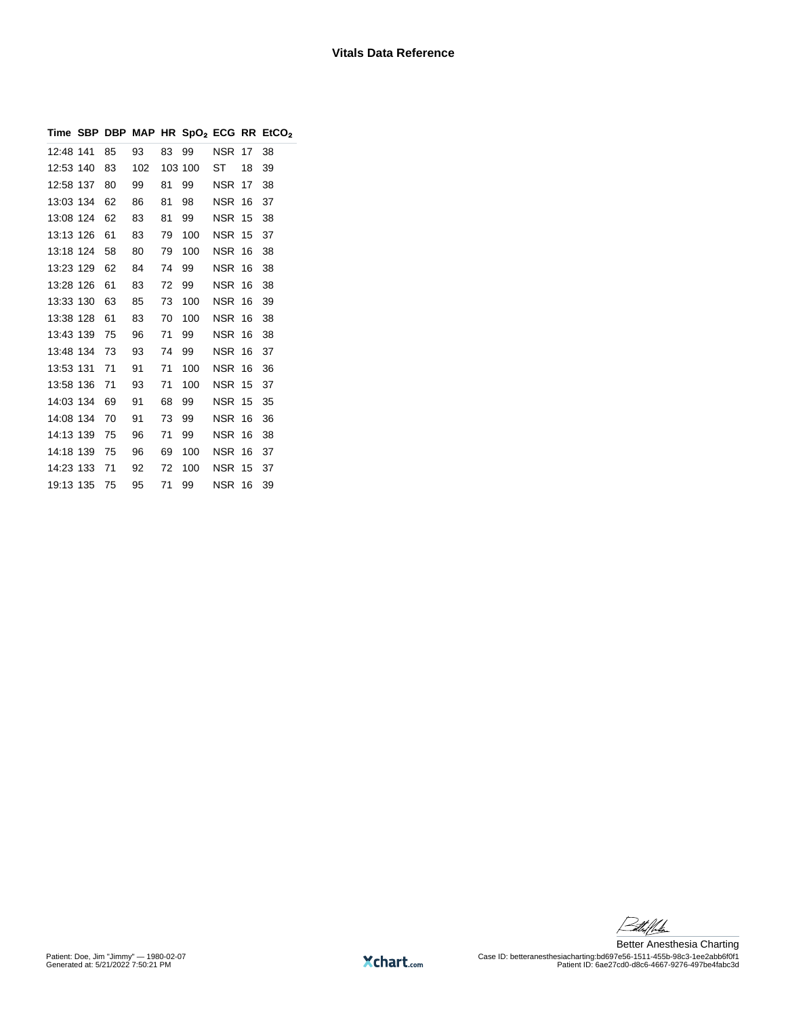|           |    |     |    |         |               |    | Time SBP DBP MAP HR $SpO2$ ECG RR EtCO <sub>2</sub> |
|-----------|----|-----|----|---------|---------------|----|-----------------------------------------------------|
| 12:48 141 | 85 | 93  | 83 | 99      | NSR           | 17 | 38                                                  |
| 12:53 140 | 83 | 102 |    | 103 100 | ST            | 18 | 39                                                  |
| 12:58 137 | 80 | 99  | 81 | 99      | <b>NSR 17</b> |    | 38                                                  |
| 13:03 134 | 62 | 86  | 81 | 98      | <b>NSR 16</b> |    | 37                                                  |
| 13:08 124 | 62 | 83  | 81 | 99      | <b>NSR 15</b> |    | 38                                                  |
| 13:13 126 | 61 | 83  | 79 | 100     | <b>NSR 15</b> |    | 37                                                  |
| 13:18 124 | 58 | 80  | 79 | 100     | <b>NSR 16</b> |    | 38                                                  |
| 13:23 129 | 62 | 84  | 74 | 99      | <b>NSR 16</b> |    | 38                                                  |
| 13:28 126 | 61 | 83  | 72 | 99      | NSR           | 16 | 38                                                  |
| 13:33 130 | 63 | 85  | 73 | 100     | <b>NSR 16</b> |    | 39                                                  |
| 13:38 128 | 61 | 83  | 70 | 100     | NSR 16        |    | 38                                                  |
| 13:43 139 | 75 | 96  | 71 | 99      | <b>NSR 16</b> |    | 38                                                  |
| 13:48 134 | 73 | 93  | 74 | 99      | <b>NSR 16</b> |    | 37                                                  |
| 13:53 131 | 71 | 91  | 71 | 100     | <b>NSR 16</b> |    | 36                                                  |
| 13:58 136 | 71 | 93  | 71 | 100     | <b>NSR 15</b> |    | 37                                                  |
| 14:03 134 | 69 | 91  | 68 | 99      | <b>NSR</b>    | 15 | 35                                                  |
| 14:08 134 | 70 | 91  | 73 | 99      | <b>NSR 16</b> |    | 36                                                  |
| 14:13 139 | 75 | 96  | 71 | 99      | NSR           | 16 | 38                                                  |
| 14:18 139 | 75 | 96  | 69 | 100     | <b>NSR 16</b> |    | 37                                                  |
| 14:23 133 | 71 | 92  | 72 | 100     | <b>NSR 15</b> |    | 37                                                  |
| 19:13 135 | 75 | 95  | 71 | 99      | NSR           | 16 | 39                                                  |